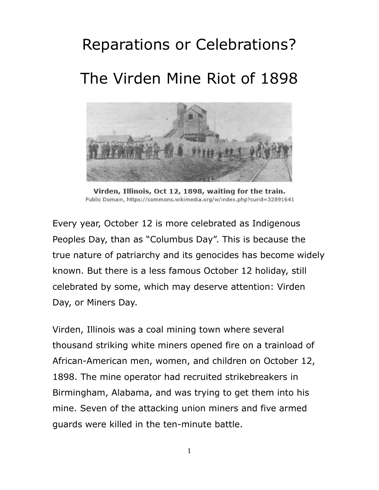# Reparations or Celebrations? The Virden Mine Riot of 1898



Virden, Illinois, Oct 12, 1898, waiting for the train. Public Domain, https://commons.wikimedia.org/w/index.php?curid=32891641

Every year, October 12 is more celebrated as Indigenous Peoples Day, than as "Columbus Day". This is because the true nature of patriarchy and its genocides has become widely known. But there is a less famous October 12 holiday, still celebrated by some, which may deserve attention: Virden Day, or Miners Day.

Virden, Illinois was a coal mining town where several thousand striking white miners opened fire on a trainload of African-American men, women, and children on October 12, 1898. The mine operator had recruited strikebreakers in Birmingham, Alabama, and was trying to get them into his mine. Seven of the attacking union miners and five armed guards were killed in the ten-minute battle.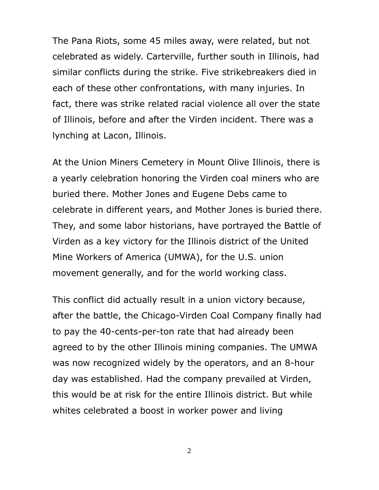The Pana Riots, some 45 miles away, were related, but not celebrated as widely. Carterville, further south in Illinois, had similar conflicts during the strike. Five strikebreakers died in each of these other confrontations, with many injuries. In fact, there was strike related racial violence all over the state of Illinois, before and after the Virden incident. There was a lynching at Lacon, Illinois.

At the Union Miners Cemetery in Mount Olive Illinois, there is a yearly celebration honoring the Virden coal miners who are buried there. Mother Jones and Eugene Debs came to celebrate in different years, and Mother Jones is buried there. They, and some labor historians, have portrayed the Battle of Virden as a key victory for the Illinois district of the United Mine Workers of America (UMWA), for the U.S. union movement generally, and for the world working class.

This conflict did actually result in a union victory because, after the battle, the Chicago-Virden Coal Company finally had to pay the 40-cents-per-ton rate that had already been agreed to by the other Illinois mining companies. The UMWA was now recognized widely by the operators, and an 8-hour day was established. Had the company prevailed at Virden, this would be at risk for the entire Illinois district. But while whites celebrated a boost in worker power and living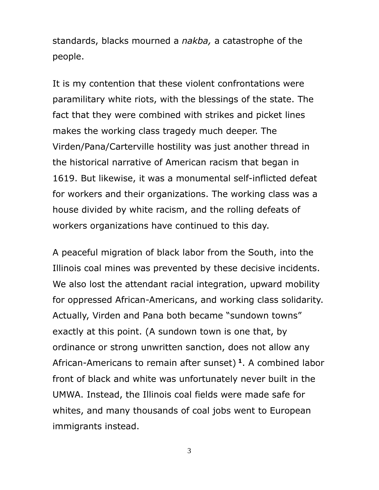standards, blacks mourned a *nakba,* a catastrophe of the people.

It is my contention that these violent confrontations were paramilitary white riots, with the blessings of the state. The fact that they were combined with strikes and picket lines makes the working class tragedy much deeper. The Virden/Pana/Carterville hostility was just another thread in the historical narrative of American racism that began in 1619. But likewise, it was a monumental self-inflicted defeat for workers and their organizations. The working class was a house divided by white racism, and the rolling defeats of workers organizations have continued to this day.

A peaceful migration of black labor from the South, into the Illinois coal mines was prevented by these decisive incidents. We also lost the attendant racial integration, upward mobility for oppressed African-Americans, and working class solidarity. Actually, Virden and Pana both became "sundown towns" exactly at this point. (A sundown town is one that, by ordinance or strong unwritten sanction, does not allow any African-Americans to remain after sunset) **<sup>1</sup>** . A combined labor front of black and white was unfortunately never built in the UMWA. Instead, the Illinois coal fields were made safe for whites, and many thousands of coal jobs went to European immigrants instead.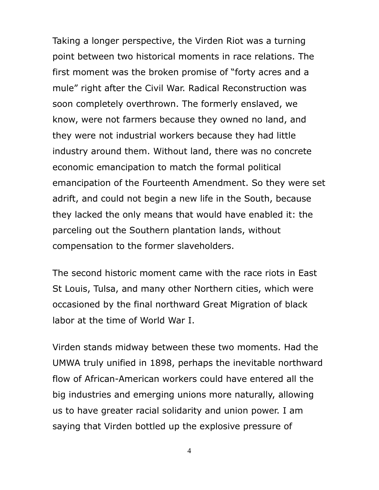Taking a longer perspective, the Virden Riot was a turning point between two historical moments in race relations. The first moment was the broken promise of "forty acres and a mule" right after the Civil War. Radical Reconstruction was soon completely overthrown. The formerly enslaved, we know, were not farmers because they owned no land, and they were not industrial workers because they had little industry around them. Without land, there was no concrete economic emancipation to match the formal political emancipation of the Fourteenth Amendment. So they were set adrift, and could not begin a new life in the South, because they lacked the only means that would have enabled it: the parceling out the Southern plantation lands, without compensation to the former slaveholders.

The second historic moment came with the race riots in East St Louis, Tulsa, and many other Northern cities, which were occasioned by the final northward Great Migration of black labor at the time of World War I.

Virden stands midway between these two moments. Had the UMWA truly unified in 1898, perhaps the inevitable northward flow of African-American workers could have entered all the big industries and emerging unions more naturally, allowing us to have greater racial solidarity and union power. I am saying that Virden bottled up the explosive pressure of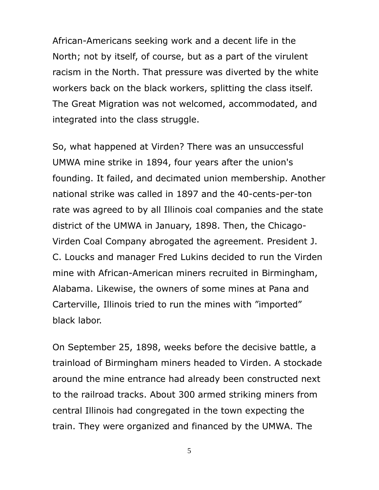African-Americans seeking work and a decent life in the North; not by itself, of course, but as a part of the virulent racism in the North. That pressure was diverted by the white workers back on the black workers, splitting the class itself. The Great Migration was not welcomed, accommodated, and integrated into the class struggle.

So, what happened at Virden? There was an unsuccessful UMWA mine strike in 1894, four years after the union's founding. It failed, and decimated union membership. Another national strike was called in 1897 and the 40-cents-per-ton rate was agreed to by all Illinois coal companies and the state district of the UMWA in January, 1898. Then, the Chicago-Virden Coal Company abrogated the agreement. President J. C. Loucks and manager Fred Lukins decided to run the Virden mine with African-American miners recruited in Birmingham, Alabama. Likewise, the owners of some mines at Pana and Carterville, Illinois tried to run the mines with "imported" black labor.

On September 25, 1898, weeks before the decisive battle, a trainload of Birmingham miners headed to Virden. A stockade around the mine entrance had already been constructed next to the railroad tracks. About 300 armed striking miners from central Illinois had congregated in the town expecting the train. They were organized and financed by the UMWA. The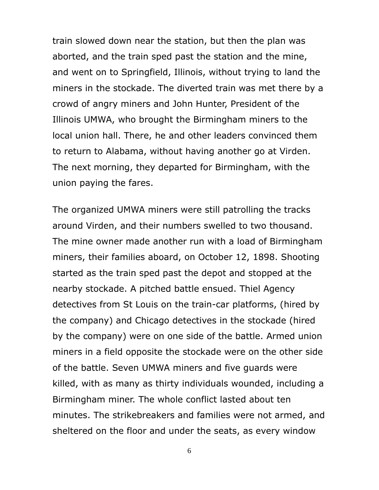train slowed down near the station, but then the plan was aborted, and the train sped past the station and the mine, and went on to Springfield, Illinois, without trying to land the miners in the stockade. The diverted train was met there by a crowd of angry miners and John Hunter, President of the Illinois UMWA, who brought the Birmingham miners to the local union hall. There, he and other leaders convinced them to return to Alabama, without having another go at Virden. The next morning, they departed for Birmingham, with the union paying the fares.

The organized UMWA miners were still patrolling the tracks around Virden, and their numbers swelled to two thousand. The mine owner made another run with a load of Birmingham miners, their families aboard, on October 12, 1898. Shooting started as the train sped past the depot and stopped at the nearby stockade. A pitched battle ensued. Thiel Agency detectives from St Louis on the train-car platforms, (hired by the company) and Chicago detectives in the stockade (hired by the company) were on one side of the battle. Armed union miners in a field opposite the stockade were on the other side of the battle. Seven UMWA miners and five guards were killed, with as many as thirty individuals wounded, including a Birmingham miner. The whole conflict lasted about ten minutes. The strikebreakers and families were not armed, and sheltered on the floor and under the seats, as every window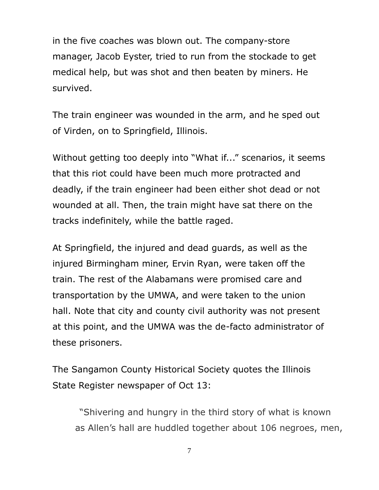in the five coaches was blown out. The company-store manager, Jacob Eyster, tried to run from the stockade to get medical help, but was shot and then beaten by miners. He survived.

The train engineer was wounded in the arm, and he sped out of Virden, on to Springfield, Illinois.

Without getting too deeply into "What if..." scenarios, it seems that this riot could have been much more protracted and deadly, if the train engineer had been either shot dead or not wounded at all. Then, the train might have sat there on the tracks indefinitely, while the battle raged.

At Springfield, the injured and dead guards, as well as the injured Birmingham miner, Ervin Ryan, were taken off the train. The rest of the Alabamans were promised care and transportation by the UMWA, and were taken to the union hall. Note that city and county civil authority was not present at this point, and the UMWA was the de-facto administrator of these prisoners.

The Sangamon County Historical Society quotes the Illinois State Register newspaper of Oct 13:

"Shivering and hungry in the third story of what is known as Allen's hall are huddled together about 106 negroes, men,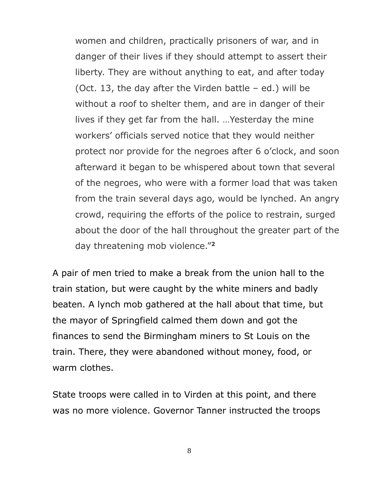women and children, practically prisoners of war, and in danger of their lives if they should attempt to assert their liberty. They are without anything to eat, and after today (Oct. 13, the day after the Virden battle – ed.) will be without a roof to shelter them, and are in danger of their lives if they get far from the hall. …Yesterday the mine workers' officials served notice that they would neither protect nor provide for the negroes after 6 o'clock, and soon afterward it began to be whispered about town that several of the negroes, who were with a former load that was taken from the train several days ago, would be lynched. An angry crowd, requiring the efforts of the police to restrain, surged about the door of the hall throughout the greater part of the day threatening mob violence."**<sup>2</sup>**

A pair of men tried to make a break from the union hall to the train station, but were caught by the white miners and badly beaten. A lynch mob gathered at the hall about that time, but the mayor of Springfield calmed them down and got the finances to send the Birmingham miners to St Louis on the train. There, they were abandoned without money, food, or warm clothes.

State troops were called in to Virden at this point, and there was no more violence. Governor Tanner instructed the troops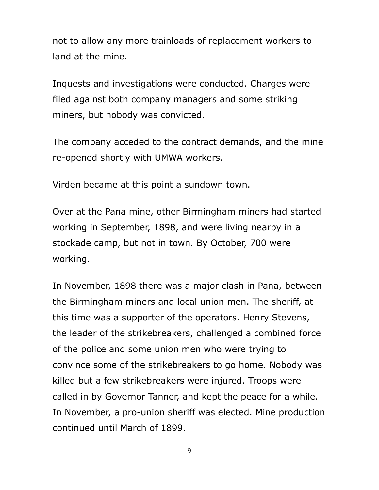not to allow any more trainloads of replacement workers to land at the mine.

Inquests and investigations were conducted. Charges were filed against both company managers and some striking miners, but nobody was convicted.

The company acceded to the contract demands, and the mine re-opened shortly with UMWA workers.

Virden became at this point a sundown town.

Over at the Pana mine, other Birmingham miners had started working in September, 1898, and were living nearby in a stockade camp, but not in town. By October, 700 were working.

In November, 1898 there was a major clash in Pana, between the Birmingham miners and local union men. The sheriff, at this time was a supporter of the operators. Henry Stevens, the leader of the strikebreakers, challenged a combined force of the police and some union men who were trying to convince some of the strikebreakers to go home. Nobody was killed but a few strikebreakers were injured. Troops were called in by Governor Tanner, and kept the peace for a while. In November, a pro-union sheriff was elected. Mine production continued until March of 1899.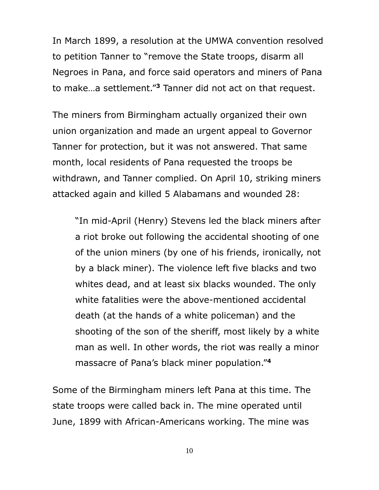In March 1899, a resolution at the UMWA convention resolved to petition Tanner to "remove the State troops, disarm all Negroes in Pana, and force said operators and miners of Pana to make…a settlement."**<sup>3</sup>** Tanner did not act on that request.

The miners from Birmingham actually organized their own union organization and made an urgent appeal to Governor Tanner for protection, but it was not answered. That same month, local residents of Pana requested the troops be withdrawn, and Tanner complied. On April 10, striking miners attacked again and killed 5 Alabamans and wounded 28:

"In mid-April (Henry) Stevens led the black miners after a riot broke out following the accidental shooting of one of the union miners (by one of his friends, ironically, not by a black miner). The violence left five blacks and two whites dead, and at least six blacks wounded. The only white fatalities were the above-mentioned accidental death (at the hands of a white policeman) and the shooting of the son of the sheriff, most likely by a white man as well. In other words, the riot was really a minor massacre of Pana's black miner population."**<sup>4</sup>**

Some of the Birmingham miners left Pana at this time. The state troops were called back in. The mine operated until June, 1899 with African-Americans working. The mine was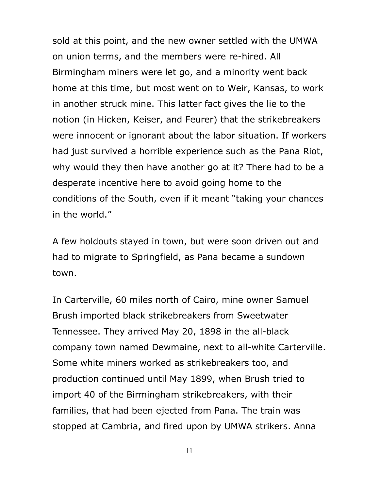sold at this point, and the new owner settled with the UMWA on union terms, and the members were re-hired. All Birmingham miners were let go, and a minority went back home at this time, but most went on to Weir, Kansas, to work in another struck mine. This latter fact gives the lie to the notion (in Hicken, Keiser, and Feurer) that the strikebreakers were innocent or ignorant about the labor situation. If workers had just survived a horrible experience such as the Pana Riot, why would they then have another go at it? There had to be a desperate incentive here to avoid going home to the conditions of the South, even if it meant "taking your chances in the world."

A few holdouts stayed in town, but were soon driven out and had to migrate to Springfield, as Pana became a sundown town.

In Carterville, 60 miles north of Cairo, mine owner Samuel Brush imported black strikebreakers from Sweetwater Tennessee. They arrived May 20, 1898 in the all-black company town named Dewmaine, next to all-white Carterville. Some white miners worked as strikebreakers too, and production continued until May 1899, when Brush tried to import 40 of the Birmingham strikebreakers, with their families, that had been ejected from Pana. The train was stopped at Cambria, and fired upon by UMWA strikers. Anna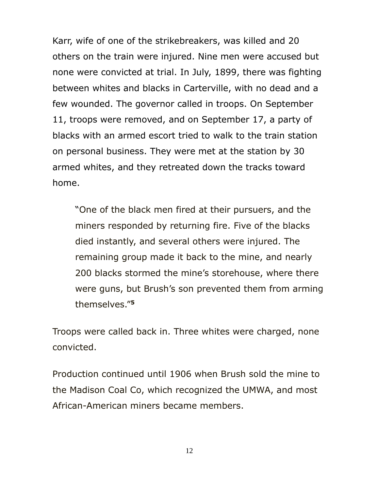Karr, wife of one of the strikebreakers, was killed and 20 others on the train were injured. Nine men were accused but none were convicted at trial. In July, 1899, there was fighting between whites and blacks in Carterville, with no dead and a few wounded. The governor called in troops. On September 11, troops were removed, and on September 17, a party of blacks with an armed escort tried to walk to the train station on personal business. They were met at the station by 30 armed whites, and they retreated down the tracks toward home.

"One of the black men fired at their pursuers, and the miners responded by returning fire. Five of the blacks died instantly, and several others were injured. The remaining group made it back to the mine, and nearly 200 blacks stormed the mine's storehouse, where there were guns, but Brush's son prevented them from arming themselves."**<sup>5</sup>**

Troops were called back in. Three whites were charged, none convicted.

Production continued until 1906 when Brush sold the mine to the Madison Coal Co, which recognized the UMWA, and most African-American miners became members.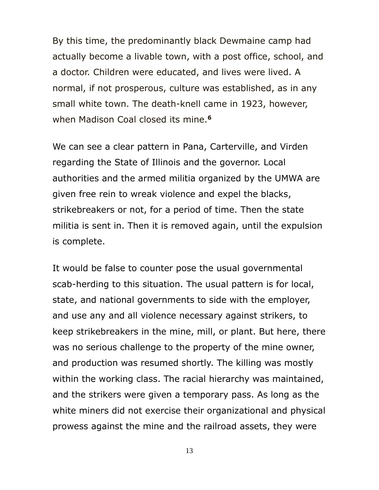By this time, the predominantly black Dewmaine camp had actually become a livable town, with a post office, school, and a doctor. Children were educated, and lives were lived. A normal, if not prosperous, culture was established, as in any small white town. The death-knell came in 1923, however, when Madison Coal closed its mine.**<sup>6</sup>**

We can see a clear pattern in Pana, Carterville, and Virden regarding the State of Illinois and the governor. Local authorities and the armed militia organized by the UMWA are given free rein to wreak violence and expel the blacks, strikebreakers or not, for a period of time. Then the state militia is sent in. Then it is removed again, until the expulsion is complete.

It would be false to counter pose the usual governmental scab-herding to this situation. The usual pattern is for local, state, and national governments to side with the employer, and use any and all violence necessary against strikers, to keep strikebreakers in the mine, mill, or plant. But here, there was no serious challenge to the property of the mine owner, and production was resumed shortly. The killing was mostly within the working class. The racial hierarchy was maintained, and the strikers were given a temporary pass. As long as the white miners did not exercise their organizational and physical prowess against the mine and the railroad assets, they were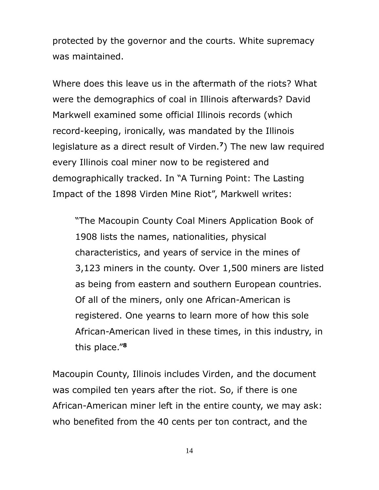protected by the governor and the courts. White supremacy was maintained.

Where does this leave us in the aftermath of the riots? What were the demographics of coal in Illinois afterwards? David Markwell examined some official Illinois records (which record-keeping, ironically, was mandated by the Illinois legislature as a direct result of Virden.**<sup>7</sup>** ) The new law required every Illinois coal miner now to be registered and demographically tracked. In "A Turning Point: The Lasting Impact of the 1898 Virden Mine Riot", Markwell writes:

"The Macoupin County Coal Miners Application Book of 1908 lists the names, nationalities, physical characteristics, and years of service in the mines of 3,123 miners in the county. Over 1,500 miners are listed as being from eastern and southern European countries. Of all of the miners, only one African-American is registered. One yearns to learn more of how this sole African-American lived in these times, in this industry, in this place."**<sup>8</sup>**

Macoupin County, Illinois includes Virden, and the document was compiled ten years after the riot. So, if there is one African-American miner left in the entire county, we may ask: who benefited from the 40 cents per ton contract, and the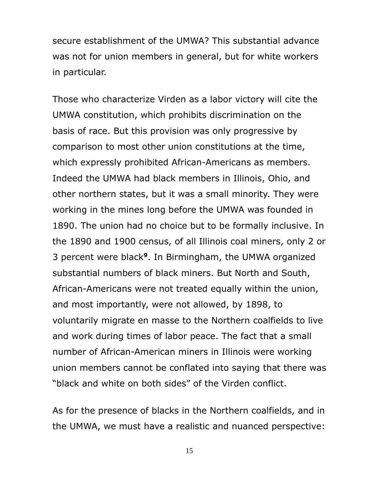secure establishment of the UMWA? This substantial advance was not for union members in general, but for white workers in particular.

Those who characterize Virden as a labor victory will cite the UMWA constitution, which prohibits discrimination on the basis of race. But this provision was only progressive by comparison to most other union constitutions at the time, which expressly prohibited African-Americans as members. Indeed the UMWA had black members in Illinois, Ohio, and other northern states, but it was a small minority. They were working in the mines long before the UMWA was founded in 1890. The union had no choice but to be formally inclusive. In the 1890 and 1900 census, of all Illinois coal miners, only 2 or 3 percent were black**<sup>9</sup>** . In Birmingham, the UMWA organized substantial numbers of black miners. But North and South, African-Americans were not treated equally within the union, and most importantly, were not allowed, by 1898, to voluntarily migrate en masse to the Northern coalfields to live and work during times of labor peace. The fact that a small number of African-American miners in Illinois were working union members cannot be conflated into saying that there was "black and white on both sides" of the Virden conflict.

As for the presence of blacks in the Northern coalfields, and in the UMWA, we must have a realistic and nuanced perspective: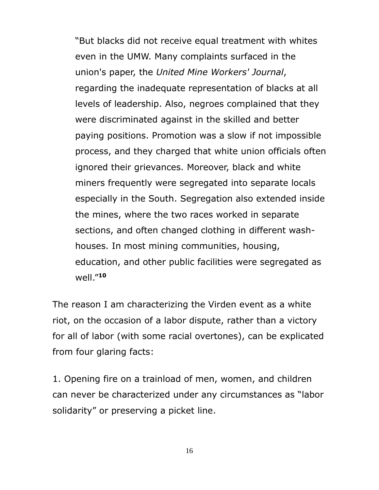"But blacks did not receive equal treatment with whites even in the UMW. Many complaints surfaced in the union's paper, the *United Mine Workers' Journal*, regarding the inadequate representation of blacks at all levels of leadership. Also, negroes complained that they were discriminated against in the skilled and better paying positions. Promotion was a slow if not impossible process, and they charged that white union officials often ignored their grievances. Moreover, black and white miners frequently were segregated into separate locals especially in the South. Segregation also extended inside the mines, where the two races worked in separate sections, and often changed clothing in different washhouses. In most mining communities, housing, education, and other public facilities were segregated as well."**<sup>10</sup>**

The reason I am characterizing the Virden event as a white riot, on the occasion of a labor dispute, rather than a victory for all of labor (with some racial overtones), can be explicated from four glaring facts:

1. Opening fire on a trainload of men, women, and children can never be characterized under any circumstances as "labor solidarity" or preserving a picket line.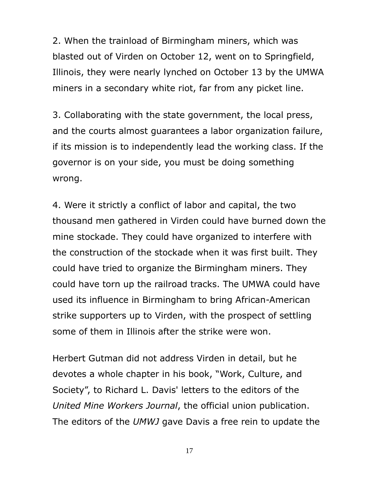2. When the trainload of Birmingham miners, which was blasted out of Virden on October 12, went on to Springfield, Illinois, they were nearly lynched on October 13 by the UMWA miners in a secondary white riot, far from any picket line.

3. Collaborating with the state government, the local press, and the courts almost guarantees a labor organization failure, if its mission is to independently lead the working class. If the governor is on your side, you must be doing something wrong.

4. Were it strictly a conflict of labor and capital, the two thousand men gathered in Virden could have burned down the mine stockade. They could have organized to interfere with the construction of the stockade when it was first built. They could have tried to organize the Birmingham miners. They could have torn up the railroad tracks. The UMWA could have used its influence in Birmingham to bring African-American strike supporters up to Virden, with the prospect of settling some of them in Illinois after the strike were won.

Herbert Gutman did not address Virden in detail, but he devotes a whole chapter in his book, "Work, Culture, and Society", to Richard L. Davis' letters to the editors of the *United Mine Workers Journal*, the official union publication. The editors of the *UMWJ* gave Davis a free rein to update the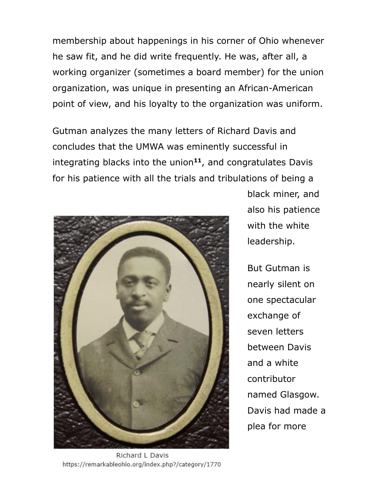membership about happenings in his corner of Ohio whenever he saw fit, and he did write frequently. He was, after all, a working organizer (sometimes a board member) for the union organization, was unique in presenting an African-American point of view, and his loyalty to the organization was uniform.

Gutman analyzes the many letters of Richard Davis and concludes that the UMWA was eminently successful in integrating blacks into the union**<sup>11</sup>** , and congratulates Davis for his patience with all the trials and tribulations of being a



black miner, and also his patience with the white leadership.

But Gutman is nearly silent on one spectacular exchange of seven letters between Davis and a white contributor named Glasgow. Davis had made a plea for more

Richard L Davis https://remarkableohio.org/index.php?/category/1770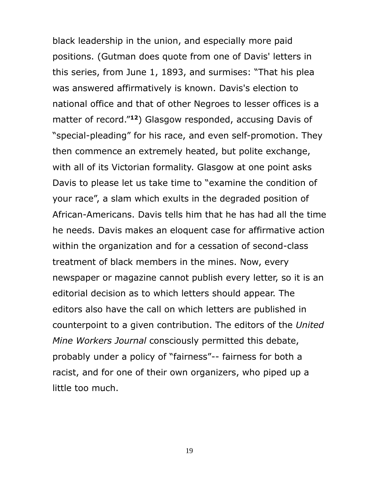black leadership in the union, and especially more paid positions. (Gutman does quote from one of Davis' letters in this series, from June 1, 1893, and surmises: "That his plea was answered affirmatively is known. Davis's election to national office and that of other Negroes to lesser offices is a matter of record."**<sup>12</sup>**) Glasgow responded, accusing Davis of "special-pleading" for his race, and even self-promotion. They then commence an extremely heated, but polite exchange, with all of its Victorian formality. Glasgow at one point asks Davis to please let us take time to "examine the condition of your race", a slam which exults in the degraded position of African-Americans. Davis tells him that he has had all the time he needs. Davis makes an eloquent case for affirmative action within the organization and for a cessation of second-class treatment of black members in the mines. Now, every newspaper or magazine cannot publish every letter, so it is an editorial decision as to which letters should appear. The editors also have the call on which letters are published in counterpoint to a given contribution. The editors of the *United Mine Workers Journal* consciously permitted this debate, probably under a policy of "fairness"-- fairness for both a racist, and for one of their own organizers, who piped up a little too much.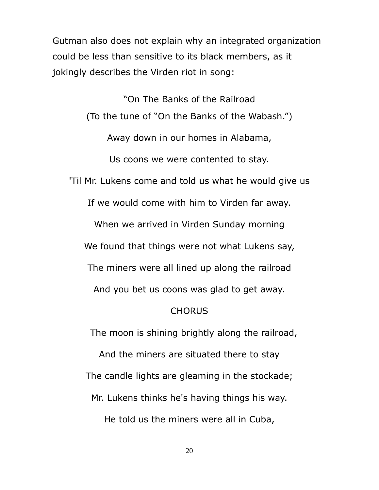Gutman also does not explain why an integrated organization could be less than sensitive to its black members, as it jokingly describes the Virden riot in song:

"On The Banks of the Railroad (To the tune of "On the Banks of the Wabash.") Away down in our homes in Alabama, Us coons we were contented to stay. 'Til Mr. Lukens come and told us what he would give us If we would come with him to Virden far away. When we arrived in Virden Sunday morning We found that things were not what Lukens say, The miners were all lined up along the railroad And you bet us coons was glad to get away. CHORUS

The moon is shining brightly along the railroad,

And the miners are situated there to stay The candle lights are gleaming in the stockade; Mr. Lukens thinks he's having things his way.

He told us the miners were all in Cuba,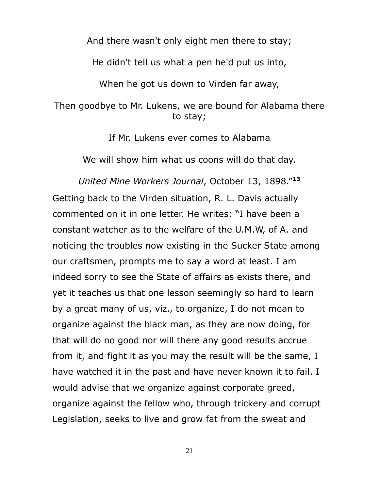And there wasn't only eight men there to stay;

He didn't tell us what a pen he'd put us into,

When he got us down to Virden far away,

#### Then goodbye to Mr. Lukens, we are bound for Alabama there to stay;

If Mr. Lukens ever comes to Alabama

We will show him what us coons will do that day.

*United Mine Workers Journal*, October 13, 1898."**<sup>13</sup>** Getting back to the Virden situation, R. L. Davis actually commented on it in one letter. He writes: "I have been a constant watcher as to the welfare of the U.M.W, of A. and noticing the troubles now existing in the Sucker State among our craftsmen, prompts me to say a word at least. I am indeed sorry to see the State of affairs as exists there, and yet it teaches us that one lesson seemingly so hard to learn by a great many of us, viz., to organize, I do not mean to organize against the black man, as they are now doing, for that will do no good nor will there any good results accrue from it, and fight it as you may the result will be the same, I have watched it in the past and have never known it to fail. I would advise that we organize against corporate greed, organize against the fellow who, through trickery and corrupt Legislation, seeks to live and grow fat from the sweat and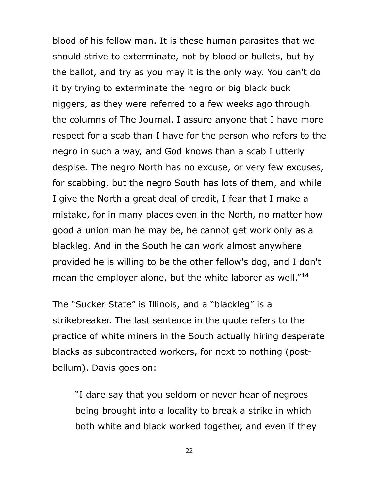blood of his fellow man. It is these human parasites that we should strive to exterminate, not by blood or bullets, but by the ballot, and try as you may it is the only way. You can't do it by trying to exterminate the negro or big black buck niggers, as they were referred to a few weeks ago through the columns of The Journal. I assure anyone that I have more respect for a scab than I have for the person who refers to the negro in such a way, and God knows than a scab I utterly despise. The negro North has no excuse, or very few excuses, for scabbing, but the negro South has lots of them, and while I give the North a great deal of credit, I fear that I make a mistake, for in many places even in the North, no matter how good a union man he may be, he cannot get work only as a blackleg. And in the South he can work almost anywhere provided he is willing to be the other fellow's dog, and I don't mean the employer alone, but the white laborer as well."**<sup>14</sup>**

The "Sucker State" is Illinois, and a "blackleg" is a strikebreaker. The last sentence in the quote refers to the practice of white miners in the South actually hiring desperate blacks as subcontracted workers, for next to nothing (postbellum). Davis goes on:

"I dare say that you seldom or never hear of negroes being brought into a locality to break a strike in which both white and black worked together, and even if they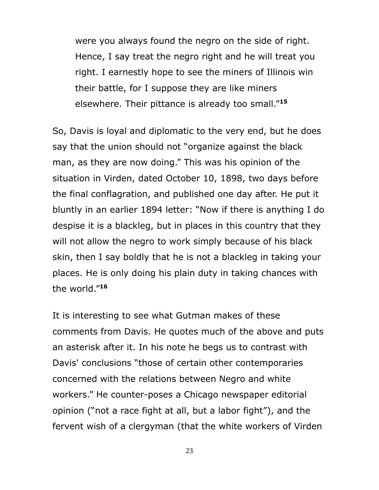were you always found the negro on the side of right. Hence, I say treat the negro right and he will treat you right. I earnestly hope to see the miners of Illinois win their battle, for I suppose they are like miners elsewhere. Their pittance is already too small."**<sup>15</sup>**

So, Davis is loyal and diplomatic to the very end, but he does say that the union should not "organize against the black man, as they are now doing." This was his opinion of the situation in Virden, dated October 10, 1898, two days before the final conflagration, and published one day after. He put it bluntly in an earlier 1894 letter: "Now if there is anything I do despise it is a blackleg, but in places in this country that they will not allow the negro to work simply because of his black skin, then I say boldly that he is not a blackleg in taking your places. He is only doing his plain duty in taking chances with the world."**<sup>16</sup>**

It is interesting to see what Gutman makes of these comments from Davis. He quotes much of the above and puts an asterisk after it. In his note he begs us to contrast with Davis' conclusions "those of certain other contemporaries concerned with the relations between Negro and white workers." He counter-poses a Chicago newspaper editorial opinion ("not a race fight at all, but a labor fight"), and the fervent wish of a clergyman (that the white workers of Virden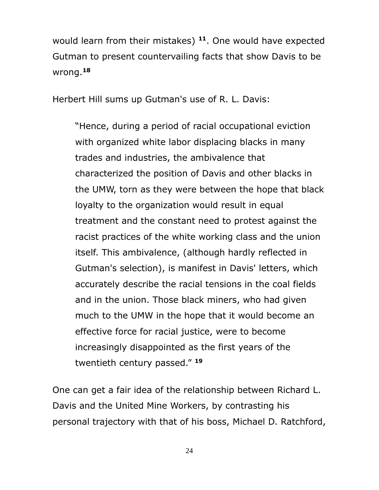would learn from their mistakes) **<sup>11</sup>**. One would have expected Gutman to present countervailing facts that show Davis to be wrong.**<sup>18</sup>**

Herbert Hill sums up Gutman's use of R. L. Davis:

"Hence, during a period of racial occupational eviction with organized white labor displacing blacks in many trades and industries, the ambivalence that characterized the position of Davis and other blacks in the UMW, torn as they were between the hope that black loyalty to the organization would result in equal treatment and the constant need to protest against the racist practices of the white working class and the union itself. This ambivalence, (although hardly reflected in Gutman's selection), is manifest in Davis' letters, which accurately describe the racial tensions in the coal fields and in the union. Those black miners, who had given much to the UMW in the hope that it would become an effective force for racial justice, were to become increasingly disappointed as the first years of the twentieth century passed." **<sup>19</sup>**

One can get a fair idea of the relationship between Richard L. Davis and the United Mine Workers, by contrasting his personal trajectory with that of his boss, Michael D. Ratchford,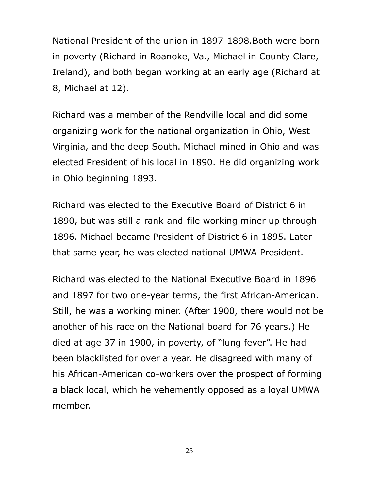National President of the union in 1897-1898.Both were born in poverty (Richard in Roanoke, Va., Michael in County Clare, Ireland), and both began working at an early age (Richard at 8, Michael at 12).

Richard was a member of the Rendville local and did some organizing work for the national organization in Ohio, West Virginia, and the deep South. Michael mined in Ohio and was elected President of his local in 1890. He did organizing work in Ohio beginning 1893.

Richard was elected to the Executive Board of District 6 in 1890, but was still a rank-and-file working miner up through 1896. Michael became President of District 6 in 1895. Later that same year, he was elected national UMWA President.

Richard was elected to the National Executive Board in 1896 and 1897 for two one-year terms, the first African-American. Still, he was a working miner. (After 1900, there would not be another of his race on the National board for 76 years.) He died at age 37 in 1900, in poverty, of "lung fever". He had been blacklisted for over a year. He disagreed with many of his African-American co-workers over the prospect of forming a black local, which he vehemently opposed as a loyal UMWA member.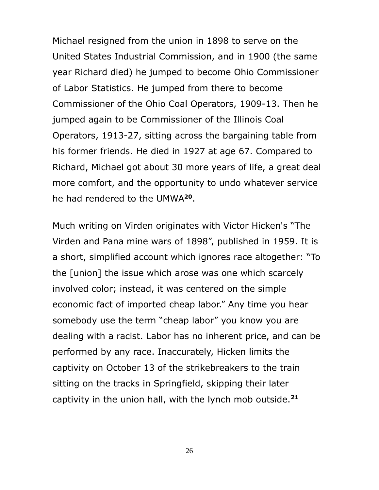Michael resigned from the union in 1898 to serve on the United States Industrial Commission, and in 1900 (the same year Richard died) he jumped to become Ohio Commissioner of Labor Statistics. He jumped from there to become Commissioner of the Ohio Coal Operators, 1909-13. Then he jumped again to be Commissioner of the Illinois Coal Operators, 1913-27, sitting across the bargaining table from his former friends. He died in 1927 at age 67. Compared to Richard, Michael got about 30 more years of life, a great deal more comfort, and the opportunity to undo whatever service he had rendered to the UMWA**<sup>20</sup>** .

Much writing on Virden originates with Victor Hicken's "The Virden and Pana mine wars of 1898", published in 1959. It is a short, simplified account which ignores race altogether: "To the [union] the issue which arose was one which scarcely involved color; instead, it was centered on the simple economic fact of imported cheap labor." Any time you hear somebody use the term "cheap labor" you know you are dealing with a racist. Labor has no inherent price, and can be performed by any race. Inaccurately, Hicken limits the captivity on October 13 of the strikebreakers to the train sitting on the tracks in Springfield, skipping their later captivity in the union hall, with the lynch mob outside.**21**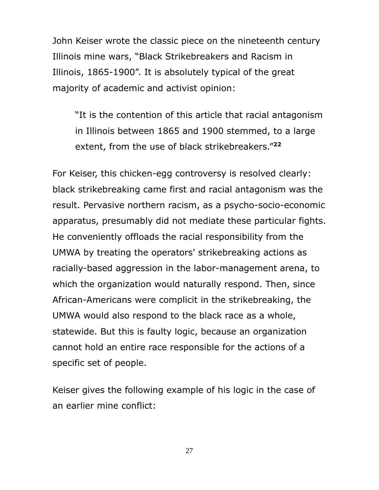John Keiser wrote the classic piece on the nineteenth century Illinois mine wars, "Black Strikebreakers and Racism in Illinois, 1865-1900". It is absolutely typical of the great majority of academic and activist opinion:

"It is the contention of this article that racial antagonism in Illinois between 1865 and 1900 stemmed, to a large extent, from the use of black strikebreakers."**<sup>22</sup>**

For Keiser, this chicken-egg controversy is resolved clearly: black strikebreaking came first and racial antagonism was the result. Pervasive northern racism, as a psycho-socio-economic apparatus, presumably did not mediate these particular fights. He conveniently offloads the racial responsibility from the UMWA by treating the operators' strikebreaking actions as racially-based aggression in the labor-management arena, to which the organization would naturally respond. Then, since African-Americans were complicit in the strikebreaking, the UMWA would also respond to the black race as a whole, statewide. But this is faulty logic, because an organization cannot hold an entire race responsible for the actions of a specific set of people.

Keiser gives the following example of his logic in the case of an earlier mine conflict: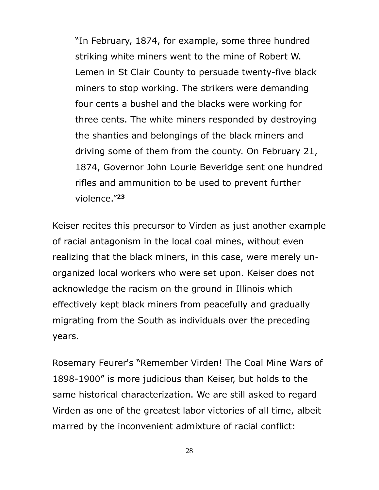"In February, 1874, for example, some three hundred striking white miners went to the mine of Robert W. Lemen in St Clair County to persuade twenty-five black miners to stop working. The strikers were demanding four cents a bushel and the blacks were working for three cents. The white miners responded by destroying the shanties and belongings of the black miners and driving some of them from the county. On February 21, 1874, Governor John Lourie Beveridge sent one hundred rifles and ammunition to be used to prevent further violence."**<sup>23</sup>**

Keiser recites this precursor to Virden as just another example of racial antagonism in the local coal mines, without even realizing that the black miners, in this case, were merely unorganized local workers who were set upon. Keiser does not acknowledge the racism on the ground in Illinois which effectively kept black miners from peacefully and gradually migrating from the South as individuals over the preceding years.

Rosemary Feurer's "Remember Virden! The Coal Mine Wars of 1898-1900" is more judicious than Keiser, but holds to the same historical characterization. We are still asked to regard Virden as one of the greatest labor victories of all time, albeit marred by the inconvenient admixture of racial conflict: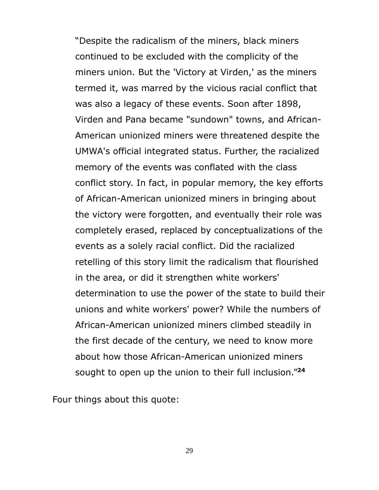"Despite the radicalism of the miners, black miners continued to be excluded with the complicity of the miners union. But the 'Victory at Virden,' as the miners termed it, was marred by the vicious racial conflict that was also a legacy of these events. Soon after 1898, Virden and Pana became "sundown" towns, and African-American unionized miners were threatened despite the UMWA's official integrated status. Further, the racialized memory of the events was conflated with the class conflict story. In fact, in popular memory, the key efforts of African-American unionized miners in bringing about the victory were forgotten, and eventually their role was completely erased, replaced by conceptualizations of the events as a solely racial conflict. Did the racialized retelling of this story limit the radicalism that flourished in the area, or did it strengthen white workers' determination to use the power of the state to build their unions and white workers' power? While the numbers of African-American unionized miners climbed steadily in the first decade of the century, we need to know more about how those African-American unionized miners sought to open up the union to their full inclusion." **24**

Four things about this quote: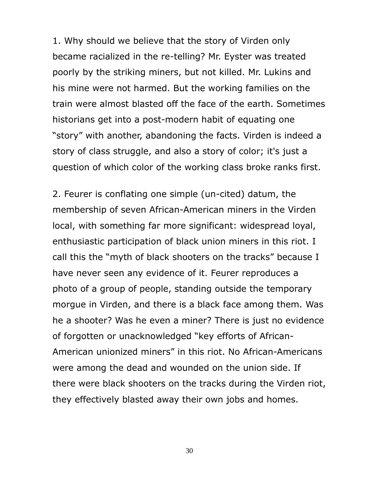1. Why should we believe that the story of Virden only became racialized in the re-telling? Mr. Eyster was treated poorly by the striking miners, but not killed. Mr. Lukins and his mine were not harmed. But the working families on the train were almost blasted off the face of the earth. Sometimes historians get into a post-modern habit of equating one "story" with another, abandoning the facts. Virden is indeed a story of class struggle, and also a story of color; it's just a question of which color of the working class broke ranks first.

2. Feurer is conflating one simple (un-cited) datum, the membership of seven African-American miners in the Virden local, with something far more significant: widespread loyal, enthusiastic participation of black union miners in this riot. I call this the "myth of black shooters on the tracks" because I have never seen any evidence of it. Feurer reproduces a photo of a group of people, standing outside the temporary morgue in Virden, and there is a black face among them. Was he a shooter? Was he even a miner? There is just no evidence of forgotten or unacknowledged "key efforts of African-American unionized miners" in this riot. No African-Americans were among the dead and wounded on the union side. If there were black shooters on the tracks during the Virden riot, they effectively blasted away their own jobs and homes.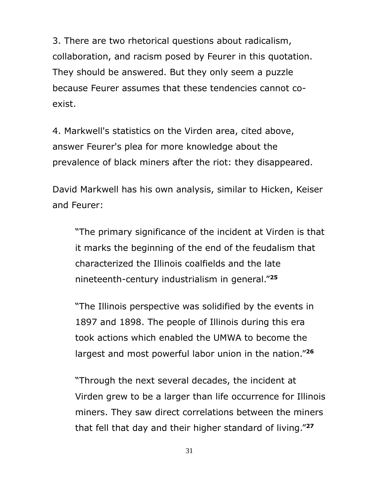3. There are two rhetorical questions about radicalism, collaboration, and racism posed by Feurer in this quotation. They should be answered. But they only seem a puzzle because Feurer assumes that these tendencies cannot coexist.

4. Markwell's statistics on the Virden area, cited above, answer Feurer's plea for more knowledge about the prevalence of black miners after the riot: they disappeared.

David Markwell has his own analysis, similar to Hicken, Keiser and Feurer:

"The primary significance of the incident at Virden is that it marks the beginning of the end of the feudalism that characterized the Illinois coalfields and the late nineteenth-century industrialism in general."**<sup>25</sup>**

"The Illinois perspective was solidified by the events in 1897 and 1898. The people of Illinois during this era took actions which enabled the UMWA to become the largest and most powerful labor union in the nation."**<sup>26</sup>**

"Through the next several decades, the incident at Virden grew to be a larger than life occurrence for Illinois miners. They saw direct correlations between the miners that fell that day and their higher standard of living."**27**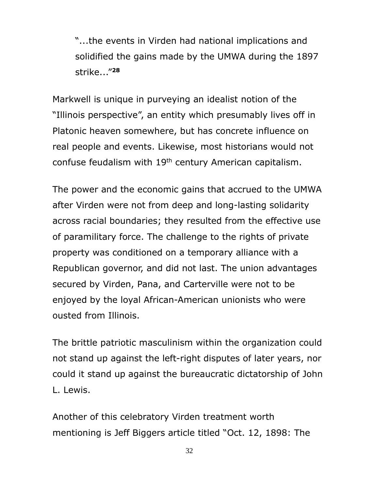"...the events in Virden had national implications and solidified the gains made by the UMWA during the 1897 strike..."**<sup>28</sup>**

Markwell is unique in purveying an idealist notion of the "Illinois perspective", an entity which presumably lives off in Platonic heaven somewhere, but has concrete influence on real people and events. Likewise, most historians would not confuse feudalism with 19th century American capitalism.

The power and the economic gains that accrued to the UMWA after Virden were not from deep and long-lasting solidarity across racial boundaries; they resulted from the effective use of paramilitary force. The challenge to the rights of private property was conditioned on a temporary alliance with a Republican governor, and did not last. The union advantages secured by Virden, Pana, and Carterville were not to be enjoyed by the loyal African-American unionists who were ousted from Illinois.

The brittle patriotic masculinism within the organization could not stand up against the left-right disputes of later years, nor could it stand up against the bureaucratic dictatorship of John L. Lewis.

Another of this celebratory Virden treatment worth mentioning is Jeff Biggers article titled "Oct. 12, 1898: The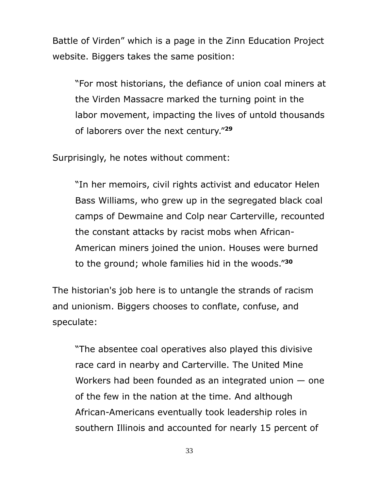Battle of Virden" which is a page in the Zinn Education Project website. Biggers takes the same position:

"For most historians, the defiance of union coal miners at the Virden Massacre marked the turning point in the labor movement, impacting the lives of untold thousands of laborers over the next century."**<sup>29</sup>**

Surprisingly, he notes without comment:

"In her memoirs, civil rights activist and educator Helen Bass Williams, who grew up in the segregated black coal camps of Dewmaine and Colp near Carterville, recounted the constant attacks by racist mobs when African-American miners joined the union. Houses were burned to the ground; whole families hid in the woods."**<sup>30</sup>**

The historian's job here is to untangle the strands of racism and unionism. Biggers chooses to conflate, confuse, and speculate:

"The absentee coal operatives also played this divisive race card in nearby and Carterville. The United Mine Workers had been founded as an integrated union — one of the few in the nation at the time. And although African-Americans eventually took leadership roles in southern Illinois and accounted for nearly 15 percent of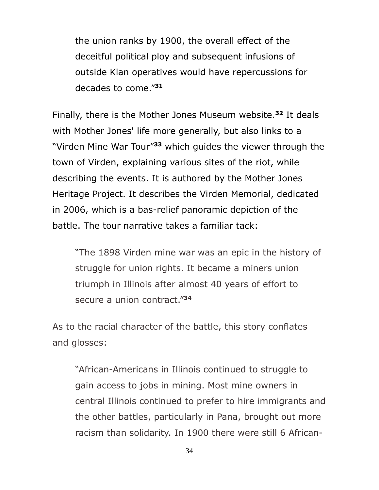the union ranks by 1900, the overall effect of the deceitful political ploy and subsequent infusions of outside Klan operatives would have repercussions for decades to come."**<sup>31</sup>**

Finally, there is the Mother Jones Museum website.**<sup>32</sup>** It deals with Mother Jones' life more generally, but also links to a "Virden Mine War Tour"**<sup>33</sup>** which guides the viewer through the town of Virden, explaining various sites of the riot, while describing the events. It is authored by the Mother Jones Heritage Project. It describes the Virden Memorial, dedicated in 2006, which is a bas-relief panoramic depiction of the battle. The tour narrative takes a familiar tack:

"The 1898 Virden mine war was an epic in the history of struggle for union rights. It became a miners union triumph in Illinois after almost 40 years of effort to secure a union contract."**<sup>34</sup>**

As to the racial character of the battle, this story conflates and glosses:

"African-Americans in Illinois continued to struggle to gain access to jobs in mining. Most mine owners in central Illinois continued to prefer to hire immigrants and the other battles, particularly in Pana, brought out more racism than solidarity. In 1900 there were still 6 African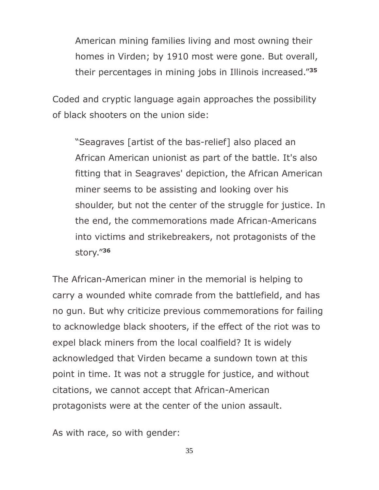American mining families living and most owning their homes in Virden; by 1910 most were gone. But overall, their percentages in mining jobs in Illinois increased."**<sup>35</sup>**

Coded and cryptic language again approaches the possibility of black shooters on the union side:

"Seagraves [artist of the bas-relief] also placed an African American unionist as part of the battle. It's also fitting that in Seagraves' depiction, the African American miner seems to be assisting and looking over his shoulder, but not the center of the struggle for justice. In the end, the commemorations made African-Americans into victims and strikebreakers, not protagonists of the story."**<sup>36</sup>**

The African-American miner in the memorial is helping to carry a wounded white comrade from the battlefield, and has no gun. But why criticize previous commemorations for failing to acknowledge black shooters, if the effect of the riot was to expel black miners from the local coalfield? It is widely acknowledged that Virden became a sundown town at this point in time. It was not a struggle for justice, and without citations, we cannot accept that African-American protagonists were at the center of the union assault.

As with race, so with gender: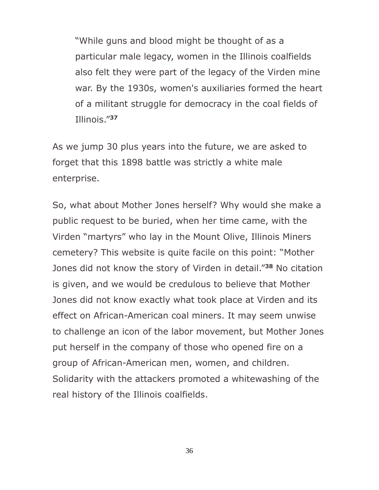"While guns and blood might be thought of as a particular male legacy, women in the Illinois coalfields also felt they were part of the legacy of the Virden mine war. By the 1930s, women's auxiliaries formed the heart of a militant struggle for democracy in the coal fields of Illinois."**<sup>37</sup>**

As we jump 30 plus years into the future, we are asked to forget that this 1898 battle was strictly a white male enterprise.

So, what about Mother Jones herself? Why would she make a public request to be buried, when her time came, with the Virden "martyrs" who lay in the Mount Olive, Illinois Miners cemetery? This website is quite facile on this point: "Mother Jones did not know the story of Virden in detail."**<sup>38</sup>** No citation is given, and we would be credulous to believe that Mother Jones did not know exactly what took place at Virden and its effect on African-American coal miners. It may seem unwise to challenge an icon of the labor movement, but Mother Jones put herself in the company of those who opened fire on a group of African-American men, women, and children. Solidarity with the attackers promoted a whitewashing of the real history of the Illinois coalfields.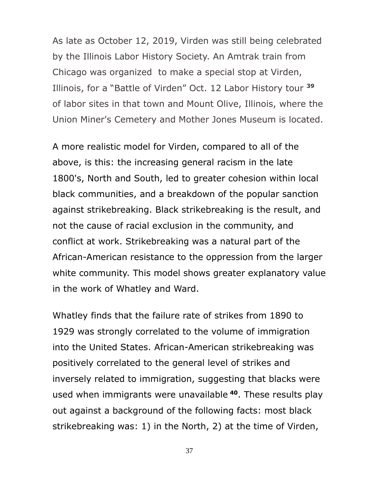As late as October 12, 2019, Virden was still being celebrated by the Illinois Labor History Society. An Amtrak train from Chicago was organized to make a special stop at Virden, Illinois, for a "Battle of Virden" Oct. 12 Labor History tour **<sup>39</sup>** of labor sites in that town and Mount Olive, Illinois, where the Union Miner's Cemetery and Mother Jones Museum is located.

A more realistic model for Virden, compared to all of the above, is this: the increasing general racism in the late 1800's, North and South, led to greater cohesion within local black communities, and a breakdown of the popular sanction against strikebreaking. Black strikebreaking is the result, and not the cause of racial exclusion in the community, and conflict at work. Strikebreaking was a natural part of the African-American resistance to the oppression from the larger white community. This model shows greater explanatory value in the work of Whatley and Ward.

Whatley finds that the failure rate of strikes from 1890 to 1929 was strongly correlated to the volume of immigration into the United States. African-American strikebreaking was positively correlated to the general level of strikes and inversely related to immigration, suggesting that blacks were used when immigrants were unavailable **<sup>40</sup>**. These results play out against a background of the following facts: most black strikebreaking was: 1) in the North, 2) at the time of Virden,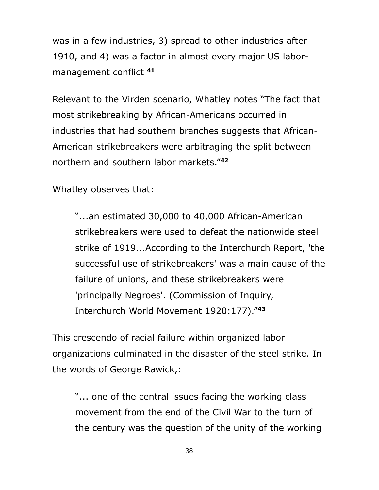was in a few industries, 3) spread to other industries after 1910, and 4) was a factor in almost every major US labormanagement conflict **<sup>41</sup>**

Relevant to the Virden scenario, Whatley notes "The fact that most strikebreaking by African-Americans occurred in industries that had southern branches suggests that African-American strikebreakers were arbitraging the split between northern and southern labor markets."**<sup>42</sup>**

Whatley observes that:

"...an estimated 30,000 to 40,000 African-American strikebreakers were used to defeat the nationwide steel strike of 1919...According to the Interchurch Report, 'the successful use of strikebreakers' was a main cause of the failure of unions, and these strikebreakers were 'principally Negroes'. (Commission of Inquiry, Interchurch World Movement 1920:177)."**<sup>43</sup>**

This crescendo of racial failure within organized labor organizations culminated in the disaster of the steel strike. In the words of George Rawick,:

"... one of the central issues facing the working class movement from the end of the Civil War to the turn of the century was the question of the unity of the working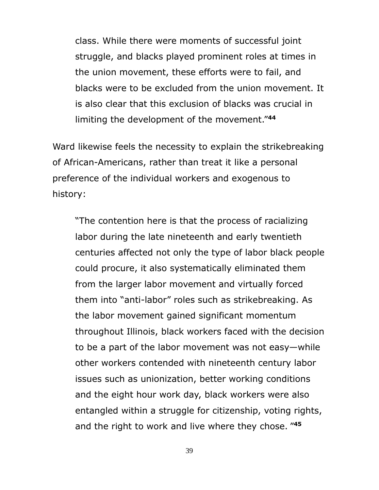class. While there were moments of successful joint struggle, and blacks played prominent roles at times in the union movement, these efforts were to fail, and blacks were to be excluded from the union movement. It is also clear that this exclusion of blacks was crucial in limiting the development of the movement."**<sup>44</sup>**

Ward likewise feels the necessity to explain the strikebreaking of African-Americans, rather than treat it like a personal preference of the individual workers and exogenous to history:

"The contention here is that the process of racializing labor during the late nineteenth and early twentieth centuries affected not only the type of labor black people could procure, it also systematically eliminated them from the larger labor movement and virtually forced them into "anti-labor" roles such as strikebreaking. As the labor movement gained significant momentum throughout Illinois, black workers faced with the decision to be a part of the labor movement was not easy—while other workers contended with nineteenth century labor issues such as unionization, better working conditions and the eight hour work day, black workers were also entangled within a struggle for citizenship, voting rights, and the right to work and live where they chose. " **45**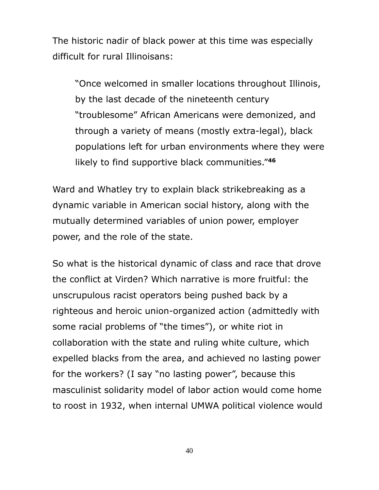The historic nadir of black power at this time was especially difficult for rural Illinoisans:

"Once welcomed in smaller locations throughout Illinois, by the last decade of the nineteenth century "troublesome" African Americans were demonized, and through a variety of means (mostly extra-legal), black populations left for urban environments where they were likely to find supportive black communities."**<sup>46</sup>**

Ward and Whatley try to explain black strikebreaking as a dynamic variable in American social history, along with the mutually determined variables of union power, employer power, and the role of the state.

So what is the historical dynamic of class and race that drove the conflict at Virden? Which narrative is more fruitful: the unscrupulous racist operators being pushed back by a righteous and heroic union-organized action (admittedly with some racial problems of "the times"), or white riot in collaboration with the state and ruling white culture, which expelled blacks from the area, and achieved no lasting power for the workers? (I say "no lasting power", because this masculinist solidarity model of labor action would come home to roost in 1932, when internal UMWA political violence would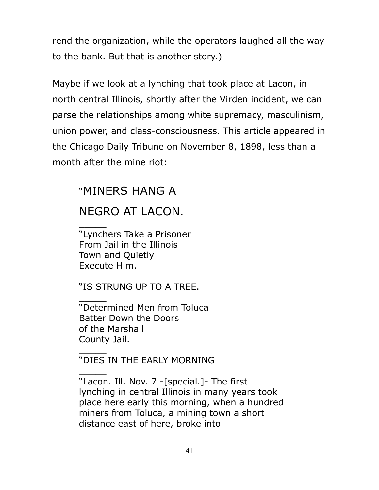rend the organization, while the operators laughed all the way to the bank. But that is another story.)

Maybe if we look at a lynching that took place at Lacon, in north central Illinois, shortly after the Virden incident, we can parse the relationships among white supremacy, masculinism, union power, and class-consciousness. This article appeared in the Chicago Daily Tribune on November 8, 1898, less than a month after the mine riot:

## "MINERS HANG A

## NEGRO AT LACON.

 $\frac{1}{2}$ 

 $\frac{1}{2}$ 

 $\frac{1}{2}$ 

 $\frac{1}{2}$ 

 $\frac{1}{2}$ 

"Lynchers Take a Prisoner From Jail in the Illinois Town and Quietly Execute Him.

"IS STRUNG UP TO A TREE.

"Determined Men from Toluca Batter Down the Doors of the Marshall County Jail.

## "DIES IN THE EARLY MORNING

"Lacon. Ill. Nov. 7 -[special.]- The first lynching in central Illinois in many years took place here early this morning, when a hundred miners from Toluca, a mining town a short distance east of here, broke into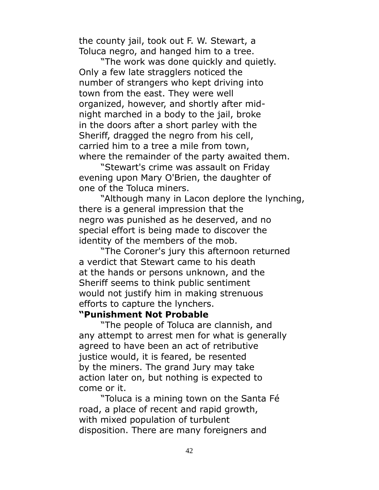the county jail, took out F. W. Stewart, a Toluca negro, and hanged him to a tree.

"The work was done quickly and quietly. Only a few late stragglers noticed the number of strangers who kept driving into town from the east. They were well organized, however, and shortly after midnight marched in a body to the jail, broke in the doors after a short parley with the Sheriff, dragged the negro from his cell, carried him to a tree a mile from town, where the remainder of the party awaited them.

"Stewart's crime was assault on Friday evening upon Mary O'Brien, the daughter of one of the Toluca miners.

"Although many in Lacon deplore the lynching, there is a general impression that the negro was punished as he deserved, and no special effort is being made to discover the identity of the members of the mob.

"The Coroner's jury this afternoon returned a verdict that Stewart came to his death at the hands or persons unknown, and the Sheriff seems to think public sentiment would not justify him in making strenuous efforts to capture the lynchers.

#### **"Punishment Not Probable**

"The people of Toluca are clannish, and any attempt to arrest men for what is generally agreed to have been an act of retributive justice would, it is feared, be resented by the miners. The grand Jury may take action later on, but nothing is expected to come or it.

"Toluca is a mining town on the Santa Fé road, a place of recent and rapid growth, with mixed population of turbulent disposition. There are many foreigners and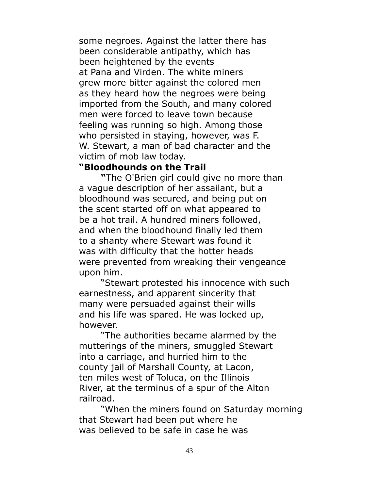some negroes. Against the latter there has been considerable antipathy, which has been heightened by the events at Pana and Virden. The white miners grew more bitter against the colored men as they heard how the negroes were being imported from the South, and many colored men were forced to leave town because feeling was running so high. Among those who persisted in staying, however, was F. W. Stewart, a man of bad character and the victim of mob law today.

#### **"Bloodhounds on the Trail**

**"**The O'Brien girl could give no more than a vague description of her assailant, but a bloodhound was secured, and being put on the scent started off on what appeared to be a hot trail. A hundred miners followed, and when the bloodhound finally led them to a shanty where Stewart was found it was with difficulty that the hotter heads were prevented from wreaking their vengeance upon him.

"Stewart protested his innocence with such earnestness, and apparent sincerity that many were persuaded against their wills and his life was spared. He was locked up, however.

"The authorities became alarmed by the mutterings of the miners, smuggled Stewart into a carriage, and hurried him to the county jail of Marshall County, at Lacon, ten miles west of Toluca, on the Illinois River, at the terminus of a spur of the Alton railroad.

"When the miners found on Saturday morning that Stewart had been put where he was believed to be safe in case he was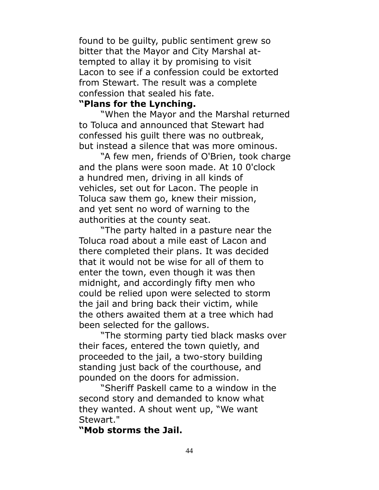found to be guilty, public sentiment grew so bitter that the Mayor and City Marshal attempted to allay it by promising to visit Lacon to see if a confession could be extorted from Stewart. The result was a complete confession that sealed his fate.

### **"Plans for the Lynching.**

"When the Mayor and the Marshal returned to Toluca and announced that Stewart had confessed his guilt there was no outbreak, but instead a silence that was more ominous.

"A few men, friends of O'Brien, took charge and the plans were soon made. At 10 0'clock a hundred men, driving in all kinds of vehicles, set out for Lacon. The people in Toluca saw them go, knew their mission, and yet sent no word of warning to the authorities at the county seat.

"The party halted in a pasture near the Toluca road about a mile east of Lacon and there completed their plans. It was decided that it would not be wise for all of them to enter the town, even though it was then midnight, and accordingly fifty men who could be relied upon were selected to storm the jail and bring back their victim, while the others awaited them at a tree which had been selected for the gallows.

"The storming party tied black masks over their faces, entered the town quietly, and proceeded to the jail, a two-story building standing just back of the courthouse, and pounded on the doors for admission.

"Sheriff Paskell came to a window in the second story and demanded to know what they wanted. A shout went up, "We want Stewart."

**"Mob storms the Jail.**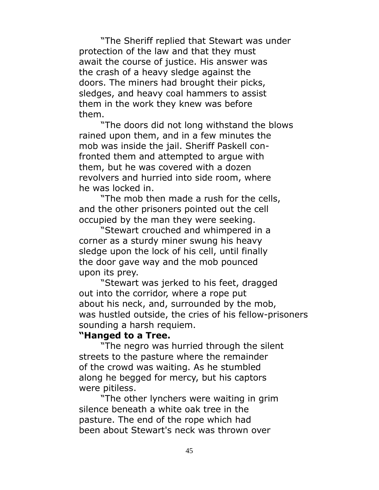"The Sheriff replied that Stewart was under protection of the law and that they must await the course of justice. His answer was the crash of a heavy sledge against the doors. The miners had brought their picks, sledges, and heavy coal hammers to assist them in the work they knew was before them.

"The doors did not long withstand the blows rained upon them, and in a few minutes the mob was inside the jail. Sheriff Paskell confronted them and attempted to argue with them, but he was covered with a dozen revolvers and hurried into side room, where he was locked in.

"The mob then made a rush for the cells, and the other prisoners pointed out the cell occupied by the man they were seeking.

"Stewart crouched and whimpered in a corner as a sturdy miner swung his heavy sledge upon the lock of his cell, until finally the door gave way and the mob pounced upon its prey.

"Stewart was jerked to his feet, dragged out into the corridor, where a rope put about his neck, and, surrounded by the mob, was hustled outside, the cries of his fellow-prisoners sounding a harsh requiem.

#### **"Hanged to a Tree.**

"The negro was hurried through the silent streets to the pasture where the remainder of the crowd was waiting. As he stumbled along he begged for mercy, but his captors were pitiless.

"The other lynchers were waiting in grim silence beneath a white oak tree in the pasture. The end of the rope which had been about Stewart's neck was thrown over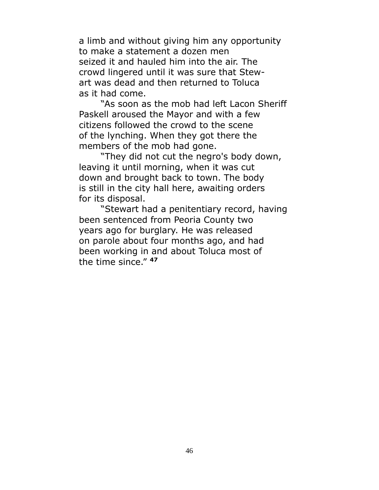a limb and without giving him any opportunity to make a statement a dozen men seized it and hauled him into the air. The crowd lingered until it was sure that Stewart was dead and then returned to Toluca as it had come.

"As soon as the mob had left Lacon Sheriff Paskell aroused the Mayor and with a few citizens followed the crowd to the scene of the lynching. When they got there the members of the mob had gone.

"They did not cut the negro's body down, leaving it until morning, when it was cut down and brought back to town. The body is still in the city hall here, awaiting orders for its disposal.

"Stewart had a penitentiary record, having been sentenced from Peoria County two years ago for burglary. He was released on parole about four months ago, and had been working in and about Toluca most of the time since." **47**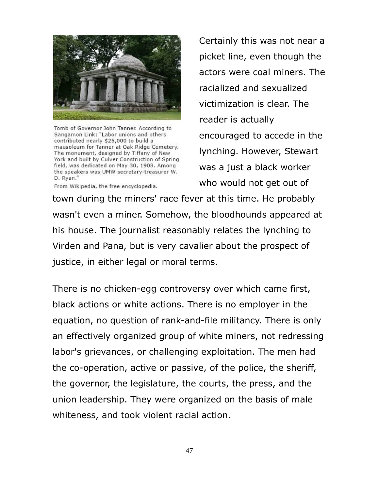

Tomb of Governor John Tanner. According to Sangamon Link: "Labor unions and others contributed nearly \$25,000 to build a mausoleum for Tanner at Oak Ridge Cemetery. The monument, designed by Tiffany of New York and built by Culver Construction of Spring field, was dedicated on May 30, 1908. Among the speakers was UMW secretary-treasurer W. D. Rvan."

From Wikipedia, the free encyclopedia.

Certainly this was not near a picket line, even though the actors were coal miners. The racialized and sexualized victimization is clear. The reader is actually encouraged to accede in the lynching. However, Stewart was a just a black worker who would not get out of

town during the miners' race fever at this time. He probably wasn't even a miner. Somehow, the bloodhounds appeared at his house. The journalist reasonably relates the lynching to Virden and Pana, but is very cavalier about the prospect of justice, in either legal or moral terms.

There is no chicken-egg controversy over which came first, black actions or white actions. There is no employer in the equation, no question of rank-and-file militancy. There is only an effectively organized group of white miners, not redressing labor's grievances, or challenging exploitation. The men had the co-operation, active or passive, of the police, the sheriff, the governor, the legislature, the courts, the press, and the union leadership. They were organized on the basis of male whiteness, and took violent racial action.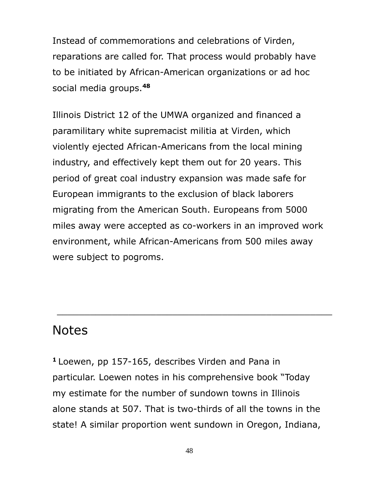Instead of commemorations and celebrations of Virden, reparations are called for. That process would probably have to be initiated by African-American organizations or ad hoc social media groups.**<sup>48</sup>**

Illinois District 12 of the UMWA organized and financed a paramilitary white supremacist militia at Virden, which violently ejected African-Americans from the local mining industry, and effectively kept them out for 20 years. This period of great coal industry expansion was made safe for European immigrants to the exclusion of black laborers migrating from the American South. Europeans from 5000 miles away were accepted as co-workers in an improved work environment, while African-Americans from 500 miles away were subject to pogroms.

## **Notes**

**<sup>1</sup>**Loewen, pp 157-165, describes Virden and Pana in particular. Loewen notes in his comprehensive book "Today my estimate for the number of sundown towns in Illinois alone stands at 507. That is two-thirds of all the towns in the state! A similar proportion went sundown in Oregon, Indiana,

\_\_\_\_\_\_\_\_\_\_\_\_\_\_\_\_\_\_\_\_\_\_\_\_\_\_\_\_\_\_\_\_\_\_\_\_\_\_\_\_\_\_\_\_\_\_\_\_\_\_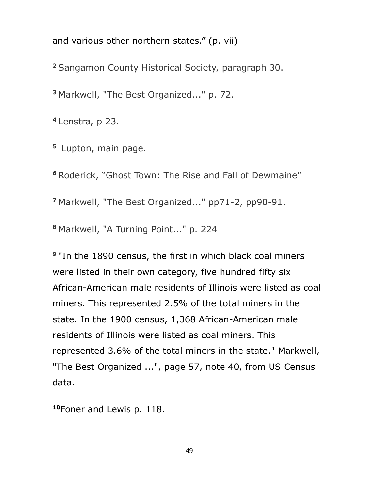and various other northern states." (p. vii)

**<sup>2</sup>**Sangamon County Historical Society, paragraph 30.

**<sup>3</sup>**Markwell, "The Best Organized..." p. 72.

**<sup>4</sup>**Lenstra, p 23.

**<sup>5</sup>**Lupton, main page.

**<sup>6</sup>**Roderick, "Ghost Town: The Rise and Fall of Dewmaine"

**<sup>7</sup>**Markwell, "The Best Organized..." pp71-2, pp90-91.

**<sup>8</sup>**Markwell, "A Turning Point..." p. 224

**9** "In the 1890 census, the first in which black coal miners were listed in their own category, five hundred fifty six African-American male residents of Illinois were listed as coal miners. This represented 2.5% of the total miners in the state. In the 1900 census, 1,368 African-American male residents of Illinois were listed as coal miners. This represented 3.6% of the total miners in the state." Markwell, "The Best Organized ...", page 57, note 40, from US Census data.

**10**Foner and Lewis p. 118.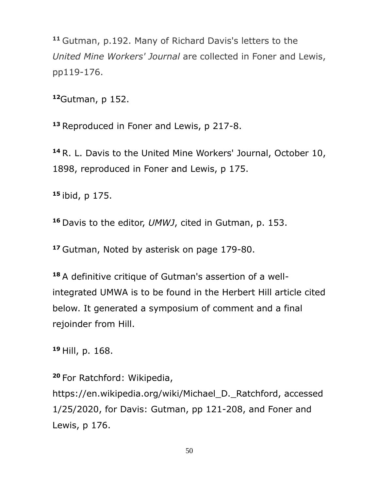**<sup>11</sup>** Gutman, p.192. Many of Richard Davis's letters to the *United Mine Workers' Journal* are collected in Foner and Lewis, pp119-176.

**<sup>12</sup>**Gutman, p 152.

**<sup>13</sup>** Reproduced in Foner and Lewis, p 217-8.

**<sup>14</sup>** R. L. Davis to the United Mine Workers' Journal, October 10, 1898, reproduced in Foner and Lewis, p 175.

**<sup>15</sup>** ibid, p 175.

**<sup>16</sup>**Davis to the editor, *UMWJ*, cited in Gutman, p. 153.

**<sup>17</sup>**Gutman, Noted by asterisk on page 179-80.

**18** A definitive critique of Gutman's assertion of a wellintegrated UMWA is to be found in the Herbert Hill article cited below. It generated a symposium of comment and a final rejoinder from Hill.

**<sup>19</sup>**Hill, p. 168.

**<sup>20</sup>**For Ratchford: Wikipedia,

https://en.wikipedia.org/wiki/Michael\_D.\_Ratchford, accessed 1/25/2020, for Davis: Gutman, pp 121-208, and Foner and Lewis, p 176.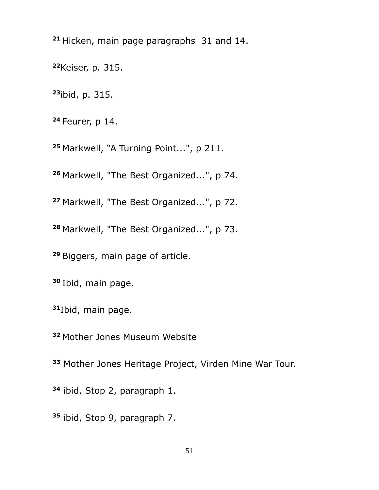Hicken, main page paragraphs 31 and 14.

Keiser, p. 315.

ibid, p. 315.

Feurer, p 14.

Markwell, "A Turning Point...", p 211.

Markwell, "The Best Organized...", p 74.

Markwell, "The Best Organized...", p 72.

Markwell, "The Best Organized...", p 73.

Biggers, main page of article.

Ibid, main page.

Ibid, main page.

Mother Jones Museum Website

Mother Jones Heritage Project, Virden Mine War Tour.

ibid, Stop 2, paragraph 1.

ibid, Stop 9, paragraph 7.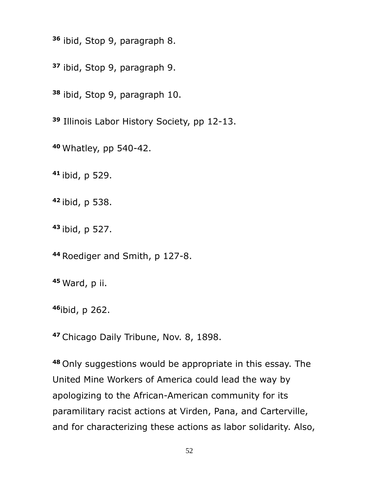ibid, Stop 9, paragraph 8.

ibid, Stop 9, paragraph 9.

ibid, Stop 9, paragraph 10.

Illinois Labor History Society, pp 12-13.

Whatley, pp 540-42.

ibid, p 529.

ibid, p 538.

ibid, p 527.

Roediger and Smith, p 127-8.

Ward, p ii.

ibid, p 262.

Chicago Daily Tribune, Nov. 8, 1898.

Only suggestions would be appropriate in this essay. The United Mine Workers of America could lead the way by apologizing to the African-American community for its paramilitary racist actions at Virden, Pana, and Carterville, and for characterizing these actions as labor solidarity. Also,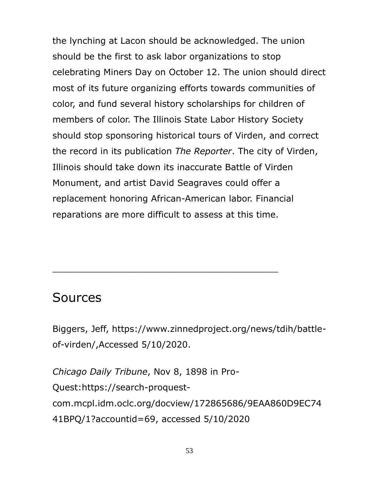the lynching at Lacon should be acknowledged. The union should be the first to ask labor organizations to stop celebrating Miners Day on October 12. The union should direct most of its future organizing efforts towards communities of color, and fund several history scholarships for children of members of color. The Illinois State Labor History Society should stop sponsoring historical tours of Virden, and correct the record in its publication *The Reporter*. The city of Virden, Illinois should take down its inaccurate Battle of Virden Monument, and artist David Seagraves could offer a replacement honoring African-American labor. Financial reparations are more difficult to assess at this time.

# Sources

Biggers, Jeff, https://www.zinnedproject.org/news/tdih/battleof-virden/,Accessed 5/10/2020.

 $\_$  , and the set of the set of the set of the set of the set of the set of the set of the set of the set of the set of the set of the set of the set of the set of the set of the set of the set of the set of the set of th

*Chicago Daily Tribune*, Nov 8, 1898 in Pro-Quest:https://search-proquestcom.mcpl.idm.oclc.org/docview/172865686/9EAA860D9EC74 41BPQ/1?accountid=69, accessed 5/10/2020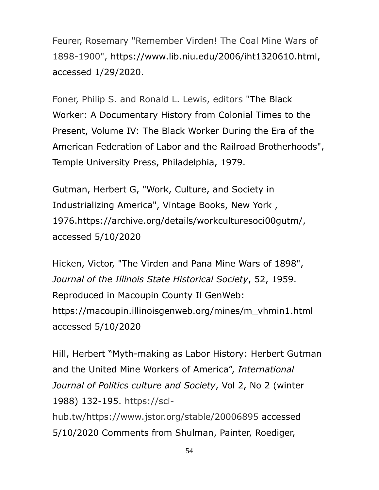Feurer, Rosemary "Remember Virden! The Coal Mine Wars of 1898-1900", https://www.lib.niu.edu/2006/iht1320610.html, accessed 1/29/2020.

Foner, Philip S. and Ronald L. Lewis, editors "The Black Worker: A Documentary History from Colonial Times to the Present, Volume IV: The Black Worker During the Era of the American Federation of Labor and the Railroad Brotherhoods", Temple University Press, Philadelphia, 1979.

Gutman, Herbert G, "Work, Culture, and Society in Industrializing America", Vintage Books, New York , 1976.https://archive.org/details/workculturesoci00gutm/, accessed 5/10/2020

Hicken, Victor, "The Virden and Pana Mine Wars of 1898", *Journal of the Illinois State Historical Society*, 52, 1959. Reproduced in Macoupin County Il GenWeb: https://macoupin.illinoisgenweb.org/mines/m\_vhmin1.html accessed 5/10/2020

Hill, Herbert "Myth-making as Labor History: Herbert Gutman and the United Mine Workers of America", *International Journal of Politics culture and Society*, Vol 2, No 2 (winter 1988) 132-195. https://sci-

hub.tw/https://www.jstor.org/stable/20006895 accessed 5/10/2020 Comments from Shulman, Painter, Roediger,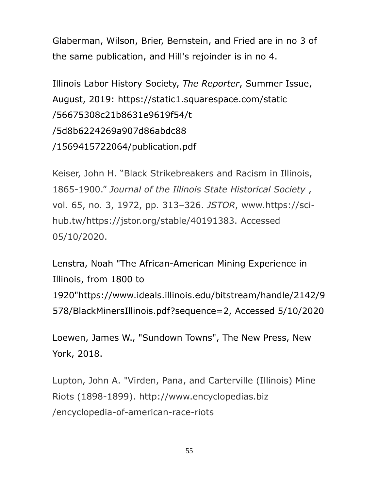Glaberman, Wilson, Brier, Bernstein, and Fried are in no 3 of the same publication, and Hill's rejoinder is in no 4.

Illinois Labor History Society, *The Reporter*, Summer Issue, August, 2019: https://static1.squarespace.com/static /56675308c21b8631e9619f54/t /5d8b6224269a907d86abdc88 /1569415722064/publication.pdf

Keiser, John H. "Black Strikebreakers and Racism in Illinois, 1865-1900." *Journal of the Illinois State Historical Society* , vol. 65, no. 3, 1972, pp. 313–326. *JSTOR*, www.https://scihub.tw/https://jstor.org/stable/40191383. Accessed 05/10/2020.

Lenstra, Noah "The African-American Mining Experience in Illinois, from 1800 to 1920"https://www.ideals.illinois.edu/bitstream/handle/2142/9 578/BlackMinersIllinois.pdf?sequence=2, Accessed 5/10/2020

Loewen, James W., "Sundown Towns", The New Press, New York, 2018.

Lupton, John A. "Virden, Pana, and Carterville (Illinois) Mine Riots (1898-1899). http://www.encyclopedias.biz /encyclopedia-of-american-race-riots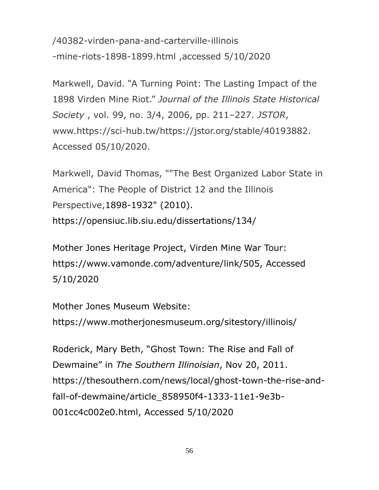/40382-virden-pana-and-carterville-illinois -mine-riots-1898-1899.html ,accessed 5/10/2020

Markwell, David. "A Turning Point: The Lasting Impact of the 1898 Virden Mine Riot." *Journal of the Illinois State Historical Society* , vol. 99, no. 3/4, 2006, pp. 211–227. *JSTOR*, www.https://sci-hub.tw/https://jstor.org/stable/40193882. Accessed 05/10/2020.

Markwell, David Thomas, ""The Best Organized Labor State in America": The People of District 12 and the Illinois Perspective,1898-1932" (2010). https://opensiuc.lib.siu.edu/dissertations/134/

Mother Jones Heritage Project, Virden Mine War Tour: https://www.vamonde.com/adventure/link/505, Accessed 5/10/2020

Mother Jones Museum Website: https://www.motherjonesmuseum.org/sitestory/illinois/

Roderick, Mary Beth, "Ghost Town: The Rise and Fall of Dewmaine" in *The Southern Illinoisian*, Nov 20, 2011. https://thesouthern.com/news/local/ghost-town-the-rise-andfall-of-dewmaine/article\_858950f4-1333-11e1-9e3b-001cc4c002e0.html, Accessed 5/10/2020